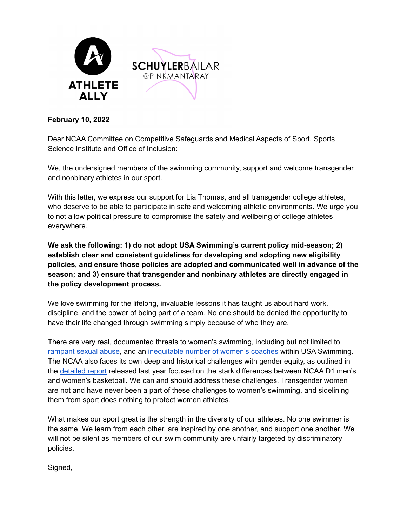

## **February 10, 2022**

Dear NCAA Committee on Competitive Safeguards and Medical Aspects of Sport, Sports Science Institute and Office of Inclusion:

We, the undersigned members of the swimming community, support and welcome transgender and nonbinary athletes in our sport.

With this letter, we express our support for Lia Thomas, and all transgender college athletes, who deserve to be able to participate in safe and welcoming athletic environments. We urge you to not allow political pressure to compromise the safety and wellbeing of college athletes everywhere.

**We ask the following: 1) do not adopt USA Swimming's current policy mid-season; 2) establish clear and consistent guidelines for developing and adopting new eligibility policies, and ensure those policies are adopted and communicated well in advance of the season; and 3) ensure that transgender and nonbinary athletes are directly engaged in the policy development process.**

We love swimming for the lifelong, invaluable lessons it has taught us about hard work, discipline, and the power of being part of a team. No one should be denied the opportunity to have their life changed through swimming simply because of who they are.

There are very real, documented threats to women's swimming, including but not limited to [rampant](https://www.washingtonpost.com/sports/2020/06/10/six-former-athletes-accuse-usa-swimming-failing-act-sex-abuse-allegations/) sexual abuse, and an [inequitable](https://wearethemeteor.com/who-gets-to-be-glorious/) number of women's coaches within USA Swimming. The NCAA also faces its own deep and historical challenges with gender equity, as outlined in the [detailed](https://ncaagenderequityreview.com/) report released last year focused on the stark differences between NCAA D1 men's and women's basketball. We can and should address these challenges. Transgender women are not and have never been a part of these challenges to women's swimming, and sidelining them from sport does nothing to protect women athletes.

What makes our sport great is the strength in the diversity of our athletes. No one swimmer is the same. We learn from each other, are inspired by one another, and support one another. We will not be silent as members of our swim community are unfairly targeted by discriminatory policies.

Signed,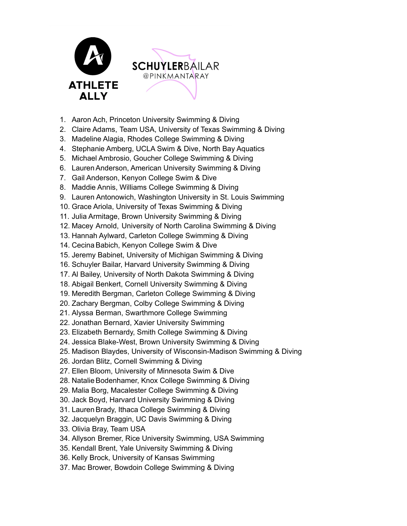

- 1. Aaron Ach, Princeton University Swimming & Diving
- 2. Claire Adams, Team USA, University of Texas Swimming & Diving
- 3. Madeline Alagia, Rhodes College Swimming & Diving
- 4. Stephanie Amberg, UCLA Swim & Dive, North Bay Aquatics
- 5. Michael Ambrosio, Goucher College Swimming & Diving
- 6. Lauren Anderson, American University Swimming & Diving
- 7. Gail Anderson, Kenyon College Swim & Dive
- 8. Maddie Annis, Williams College Swimming & Diving
- 9. Lauren Antonowich, Washington University in St. Louis Swimming
- 10. Grace Ariola, University of Texas Swimming & Diving
- 11. Julia Armitage, Brown University Swimming & Diving
- 12. Macey Arnold, University of North Carolina Swimming & Diving
- 13. Hannah Aylward, Carleton College Swimming & Diving
- 14. Cecina Babich, Kenyon College Swim & Dive
- 15. Jeremy Babinet, University of Michigan Swimming & Diving
- 16. Schuyler Bailar, Harvard University Swimming & Diving
- 17. Al Bailey, University of North Dakota Swimming & Diving
- 18. Abigail Benkert, Cornell University Swimming & Diving
- 19. Meredith Bergman, Carleton College Swimming & Diving
- 20. Zachary Bergman, Colby College Swimming & Diving
- 21. Alyssa Berman, Swarthmore College Swimming
- 22. Jonathan Bernard, Xavier University Swimming
- 23. Elizabeth Bernardy, Smith College Swimming & Diving
- 24. Jessica Blake-West, Brown University Swimming & Diving
- 25. Madison Blaydes, University of Wisconsin-Madison Swimming & Diving
- 26. Jordan Blitz, Cornell Swimming & Diving
- 27. Ellen Bloom, University of Minnesota Swim & Dive
- 28. Natalie Bodenhamer, Knox College Swimming & Diving
- 29. Malia Borg, Macalester College Swimming & Diving
- 30. Jack Boyd, Harvard University Swimming & Diving
- 31. Lauren Brady, Ithaca College Swimming & Diving
- 32. Jacquelyn Braggin, UC Davis Swimming & Diving
- 33. Olivia Bray, Team USA
- 34. Allyson Bremer, Rice University Swimming, USA Swimming
- 35. Kendall Brent, Yale University Swimming & Diving
- 36. Kelly Brock, University of Kansas Swimming
- 37. Mac Brower, Bowdoin College Swimming & Diving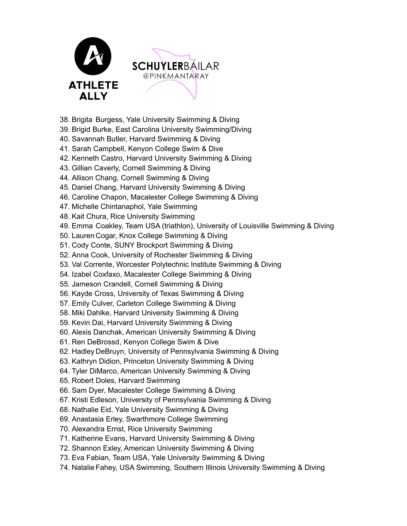

- 38. Brigita Burgess, Yale University Swimming & Diving
- 39. Brigid Burke, East Carolina University Swimming/Diving
- 40. Savannah Butler, Harvard Swimming & Diving
- 41. Sarah Campbell, Kenyon College Swim & Dive
- 42. Kenneth Castro, Harvard University Swimming & Diving
- 43. Gillian Caverly, Cornell Swimming & Diving
- 44. Allison Chang, Cornell Swimming & Diving
- 45. Daniel Chang, Harvard University Swimming & Diving
- 46. Caroline Chapon, Macalester College Swimming & Diving
- 47. Michelle Chintanaphol, Yale Swimming
- 48. Kait Chura, Rice University Swimming
- 49. Emma Coakley, Team USA (triathlon), University of Louisville Swimming & Diving
- 50. Lauren Cogar, Knox College Swimming & Diving
- 51. Cody Conte, SUNY Brockport Swimming & Diving
- 52. Anna Cook, University of Rochester Swimming & Diving
- 53. Val Corrente, Worcester Polytechnic Institute Swimming & Diving
- 54. Izabel Coxfaxo, Macalester College Swimming & Diving
- 55. Jameson Crandell, Cornell Swimming & Diving
- 56. Kayde Cross, University of Texas Swimming & Diving
- 57. Emily Culver, Carleton College Swimming & Diving
- 58. Miki Dahlke, Harvard University Swimming & Diving
- 59. Kevin Dai, Harvard University Swimming & Diving
- 60. Alexis Danchak, American University Swimming & Diving
- 61. Ren DeBrossd, Kenyon College Swim & Dive
- 62. Hadley DeBruyn, University of Pennsylvania Swimming & Diving
- 63. Kathryn Didion, Princeton University Swimming & Diving
- 64. Tyler DiMarco, American University Swimming & Diving
- 65. Robert Doles, Harvard Swimming
- 66. Sam Dyer, Macalester College Swimming & Diving
- 67. Kristi Edleson, University of Pennsylvania Swimming & Diving
- 68. Nathalie Eid, Yale University Swimming & Diving
- 69. Anastasia Erley, Swarthmore College Swimming
- 70. Alexandra Ernst, Rice University Swimming
- 71. Katherine Evans, Harvard University Swimming & Diving
- 72. Shannon Exley, American University Swimming & Diving
- 73. Eva Fabian, Team USA, Yale University Swimming & Diving
- 74. Natalie Fahey, USA Swimming, Southern Illinois University Swimming & Diving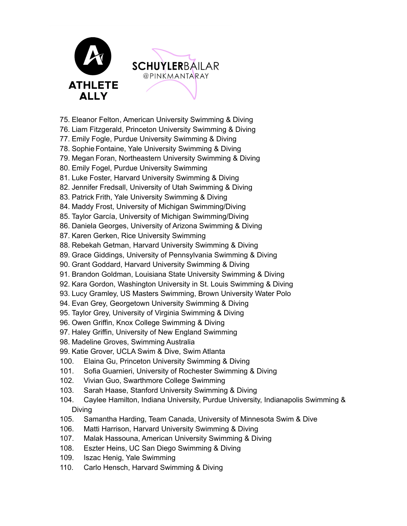

- 75. Eleanor Felton, American University Swimming & Diving
- 76. Liam Fitzgerald, Princeton University Swimming & Diving
- 77. Emily Fogle, Purdue University Swimming & Diving
- 78. Sophie Fontaine, Yale University Swimming & Diving
- 79. Megan Foran, Northeastern University Swimming & Diving
- 80. Emily Fogel, Purdue University Swimming
- 81. Luke Foster, Harvard University Swimming & Diving
- 82. Jennifer Fredsall, University of Utah Swimming & Diving
- 83. Patrick Frith, Yale University Swimming & Diving
- 84. Maddy Frost, University of Michigan Swimming/Diving
- 85. Taylor García, University of Michigan Swimming/Diving
- 86. Daniela Georges, University of Arizona Swimming & Diving
- 87. Karen Gerken, Rice University Swimming
- 88. Rebekah Getman, Harvard University Swimming & Diving
- 89. Grace Giddings, University of Pennsylvania Swimming & Diving
- 90. Grant Goddard, Harvard University Swimming & Diving
- 91. Brandon Goldman, Louisiana State University Swimming & Diving
- 92. Kara Gordon, Washington University in St. Louis Swimming & Diving
- 93. Lucy Gramley, US Masters Swimming, Brown University Water Polo
- 94. Evan Grey, Georgetown University Swimming & Diving
- 95. Taylor Grey, University of Virginia Swimming & Diving
- 96. Owen Griffin, Knox College Swimming & Diving
- 97. Haley Griffin, University of New England Swimming
- 98. Madeline Groves, Swimming Australia
- 99. Katie Grover, UCLA Swim & Dive, Swim Atlanta
- 100. Elaina Gu, Princeton University Swimming & Diving
- 101. Sofia Guarnieri, University of Rochester Swimming & Diving
- 102. Vivian Guo, Swarthmore College Swimming
- 103. Sarah Haase, Stanford University Swimming & Diving
- 104. Caylee Hamilton, Indiana University, Purdue University, Indianapolis Swimming & Diving
- 105. Samantha Harding, Team Canada, University of Minnesota Swim & Dive
- 106. Matti Harrison, Harvard University Swimming & Diving
- 107. Malak Hassouna, American University Swimming & Diving
- 108. Eszter Heins, UC San Diego Swimming & Diving
- 109. Iszac Henig, Yale Swimming
- 110. Carlo Hensch, Harvard Swimming & Diving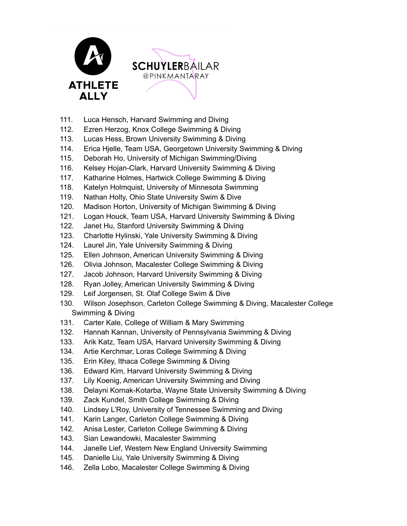

- 111. Luca Hensch, Harvard Swimming and Diving
- 112. Ezren Herzog, Knox College Swimming & Diving
- 113. Lucas Hess, Brown University Swimming & Diving
- 114. Erica Hjelle, Team USA, Georgetown University Swimming & Diving
- 115. Deborah Ho, University of Michigan Swimming/Diving
- 116. Kelsey Hojan-Clark, Harvard University Swimming & Diving
- 117. Katharine Holmes, Hartwick College Swimming & Diving
- 118. Katelyn Holmquist, University of Minnesota Swimming
- 119. Nathan Holty, Ohio State University Swim & Dive
- 120. Madison Horton, University of Michigan Swimming & Diving
- 121. Logan Houck, Team USA, Harvard University Swimming & Diving
- 122. Janet Hu, Stanford University Swimming & Diving
- 123. Charlotte Hylinski, Yale University Swimming & Diving
- 124. Laurel Jin, Yale University Swimming & Diving
- 125. Ellen Johnson, American University Swimming & Diving
- 126. Olivia Johnson, Macalester College Swimming & Diving
- 127. Jacob Johnson, Harvard University Swimming & Diving
- 128. Ryan Jolley, American University Swimming & Diving
- 129. Leif Jorgensen, St. Olaf College Swim & Dive
- 130. Wilson Josephson, Carleton College Swimming & Diving, Macalester College Swimming & Diving
- 131. Carter Kale, College of William & Mary Swimming
- 132. Hannah Kannan, University of Pennsylvania Swimming & Diving
- 133. Arik Katz, Team USA, Harvard University Swimming & Diving
- 134. Artie Kerchmar, Loras College Swimming & Diving
- 135. Erin Kiley, Ithaca College Swimming & Diving
- 136. Edward Kim, Harvard University Swimming & Diving
- 137. Lily Koenig, American University Swimming and Diving
- 138. Delayni Kornak-Kotarba, Wayne State University Swimming & Diving
- 139. Zack Kundel, Smith College Swimming & Diving
- 140. Lindsey L'Roy, University of Tennessee Swimming and Diving
- 141. Karin Langer, Carleton College Swimming & Diving
- 142. Anisa Lester, Carleton College Swimming & Diving
- 143. Sian Lewandowki, Macalester Swimming
- 144. Janelle Lief, Western New England University Swimming
- 145. Danielle Liu, Yale University Swimming & Diving
- 146. Zella Lobo, Macalester College Swimming & Diving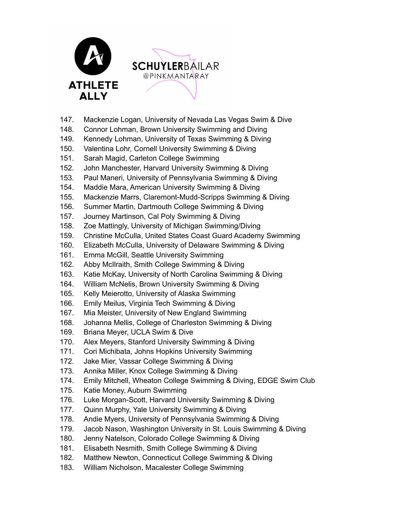



- 147. Mackenzie Logan, University of Nevada Las Vegas Swim & Dive
- 148. Connor Lohman, Brown University Swimming and Diving
- 149. Kennedy Lohman, University of Texas Swimming & Diving
- 150. Valentina Lohr, Cornell University Swimming & Diving
- 151. Sarah Magid, Carleton College Swimming
- 152. John Manchester, Harvard University Swimming & Diving
- 153. Paul Maneri, University of Pennsylvania Swimming & Diving
- 154. Maddie Mara, American University Swimming & Diving
- 155. Mackenzie Marrs, Claremont-Mudd-Scripps Swimming & Diving
- 156. Summer Martin, Dartmouth College Swimming & Diving
- 157. Journey Martinson, Cal Poly Swimming & Diving
- 158. Zoe Mattingly, University of Michigan Swimming/Diving
- 159. Christine McCulla, United States Coast Guard Academy Swimming
- 160. Elizabeth McCulla, University of Delaware Swimming & Diving
- 161. Emma McGill, Seattle University Swimming
- 162. Abby McIlraith, Smith College Swimming & Diving
- 163. Katie McKay, University of North Carolina Swimming & Diving
- 164. William McNelis, Brown University Swimming & Diving
- 165. Kelly Meierotto, University of Alaska Swimming
- 166. Emily Meilus, Virginia Tech Swimming & Diving
- 167. Mia Meister, University of New England Swimming
- 168. Johanna Mellis, College of Charleston Swimming & Diving
- 169. Briana Meyer, UCLA Swim & Dive
- 170. Alex Meyers, Stanford University Swimming & Diving
- 171. Cori Michibata, Johns Hopkins University Swimming
- 172. Jake Mier, Vassar College Swimming & Diving
- 173. Annika Miller, Knox College Swimming & Diving
- 174. Emily Mitchell, Wheaton College Swimming & Diving, EDGE Swim Club
- 175. Katie Money, Auburn Swimming
- 176. Luke Morgan-Scott, Harvard University Swimming & Diving
- 177. Quinn Murphy, Yale University Swimming & Diving
- 178. Andie Myers, University of Pennsylvania Swimming & Diving
- 179. Jacob Nason, Washington University in St. Louis Swimming & Diving
- 180. Jenny Natelson, Colorado College Swimming & Diving
- 181. Elisabeth Nesmith, Smith College Swimming & Diving
- 182. Matthew Newton, Connecticut College Swimming & Diving
- 183. William Nicholson, Macalester College Swimming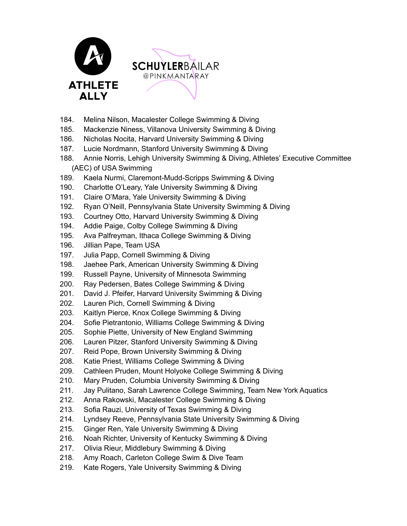

- 184. Melina Nilson, Macalester College Swimming & Diving
- 185. Mackenzie Niness, Villanova University Swimming & Diving
- 186. Nicholas Nocita, Harvard University Swimming & Diving
- 187. Lucie Nordmann, Stanford University Swimming & Diving
- 188. Annie Norris, Lehigh University Swimming & Diving, Athletes' Executive Committee (AEC) of USA Swimming
- 189. Kaela Nurmi, Claremont-Mudd-Scripps Swimming & Diving
- 190. Charlotte O'Leary, Yale University Swimming & Diving
- 191. Claire O'Mara, Yale University Swimming & Diving
- 192. Ryan O'Neill, Pennsylvania State University Swimming & Diving
- 193. Courtney Otto, Harvard University Swimming & Diving
- 194. Addie Paige, Colby College Swimming & Diving
- 195. Ava Palfreyman, Ithaca College Swimming & Diving
- 196. Jillian Pape, Team USA
- 197. Julia Papp, Cornell Swimming & Diving
- 198. Jaehee Park, American University Swimming & Diving
- 199. Russell Payne, University of Minnesota Swimming
- 200. Ray Pedersen, Bates College Swimming & Diving
- 201. David J. Pfeifer, Harvard University Swimming & Diving
- 202. Lauren Pich, Cornell Swimming & Diving
- 203. Kaitlyn Pierce, Knox College Swimming & Diving
- 204. Sofie Pietrantonio, Williams College Swimming & Diving
- 205. Sophie Piette, University of New England Swimming
- 206. Lauren Pitzer, Stanford University Swimming & Diving
- 207. Reid Pope, Brown University Swimming & Diving
- 208. Katie Priest, Williams College Swimming & Diving
- 209. Cathleen Pruden, Mount Holyoke College Swimming & Diving
- 210. Mary Pruden, Columbia University Swimming & Diving
- 211. Jay Pulitano, Sarah Lawrence College Swimming, Team New York Aquatics
- 212. Anna Rakowski, Macalester College Swimming & Diving
- 213. Sofia Rauzi, University of Texas Swimming & Diving
- 214. Lyndsey Reeve, Pennsylvania State University Swimming & Diving
- 215. Ginger Ren, Yale University Swimming & Diving
- 216. Noah Richter, University of Kentucky Swimming & Diving
- 217. Olivia Rieur, Middlebury Swimming & Diving
- 218. Amy Roach, Carleton College Swim & Dive Team
- 219. Kate Rogers, Yale University Swimming & Diving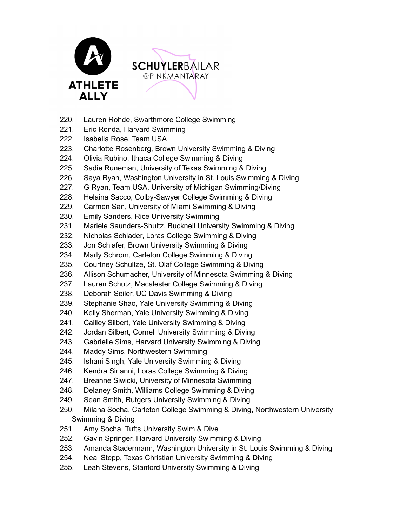



- 220. Lauren Rohde, Swarthmore College Swimming
- 221. Eric Ronda, Harvard Swimming
- 222. Isabella Rose, Team USA
- 223. Charlotte Rosenberg, Brown University Swimming & Diving
- 224. Olivia Rubino, Ithaca College Swimming & Diving
- 225. Sadie Runeman, University of Texas Swimming & Diving
- 226. Saya Ryan, Washington University in St. Louis Swimming & Diving
- 227. G Ryan, Team USA, University of Michigan Swimming/Diving
- 228. Helaina Sacco, Colby-Sawyer College Swimming & Diving
- 229. Carmen San, University of Miami Swimming & Diving
- 230. Emily Sanders, Rice University Swimming
- 231. Mariele Saunders-Shultz, Bucknell University Swimming & Diving
- 232. Nicholas Schlader, Loras College Swimming & Diving
- 233. Jon Schlafer, Brown University Swimming & Diving
- 234. Marly Schrom, Carleton College Swimming & Diving
- 235. Courtney Schultze, St. Olaf College Swimming & Diving
- 236. Allison Schumacher, University of Minnesota Swimming & Diving
- 237. Lauren Schutz, Macalester College Swimming & Diving
- 238. Deborah Seiler, UC Davis Swimming & Diving
- 239. Stephanie Shao, Yale University Swimming & Diving
- 240. Kelly Sherman, Yale University Swimming & Diving
- 241. Cailley Silbert, Yale University Swimming & Diving
- 242. Jordan Silbert, Cornell University Swimming & Diving
- 243. Gabrielle Sims, Harvard University Swimming & Diving
- 244. Maddy Sims, Northwestern Swimming
- 245. Ishani Singh, Yale University Swimming & Diving
- 246. Kendra Sirianni, Loras College Swimming & Diving
- 247. Breanne Siwicki, University of Minnesota Swimming
- 248. Delaney Smith, Williams College Swimming & Diving
- 249. Sean Smith, Rutgers University Swimming & Diving
- 250. Milana Socha, Carleton College Swimming & Diving, Northwestern University Swimming & Diving
- 251. Amy Socha, Tufts University Swim & Dive
- 252. Gavin Springer, Harvard University Swimming & Diving
- 253. Amanda Stadermann, Washington University in St. Louis Swimming & Diving
- 254. Neal Stepp, Texas Christian University Swimming & Diving
- 255. Leah Stevens, Stanford University Swimming & Diving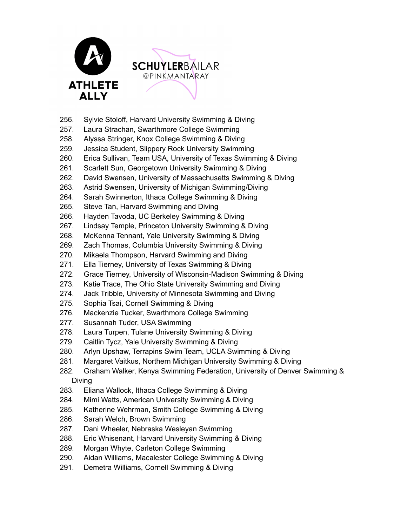



- 256. Sylvie Stoloff, Harvard University Swimming & Diving
- 257. Laura Strachan, Swarthmore College Swimming
- 258. Alyssa Stringer, Knox College Swimming & Diving
- 259. Jessica Student, Slippery Rock University Swimming
- 260. Erica Sullivan, Team USA, University of Texas Swimming & Diving
- 261. Scarlett Sun, Georgetown University Swimming & Diving
- 262. David Swensen, University of Massachusetts Swimming & Diving
- 263. Astrid Swensen, University of Michigan Swimming/Diving
- 264. Sarah Swinnerton, Ithaca College Swimming & Diving
- 265. Steve Tan, Harvard Swimming and Diving
- 266. Hayden Tavoda, UC Berkeley Swimming & Diving
- 267. Lindsay Temple, Princeton University Swimming & Diving
- 268. McKenna Tennant, Yale University Swimming & Diving
- 269. Zach Thomas, Columbia University Swimming & Diving
- 270. Mikaela Thompson, Harvard Swimming and Diving
- 271. Ella Tierney, University of Texas Swimming & Diving
- 272. Grace Tierney, University of Wisconsin-Madison Swimming & Diving
- 273. Katie Trace, The Ohio State University Swimming and Diving
- 274. Jack Tribble, University of Minnesota Swimming and Diving
- 275. Sophia Tsai, Cornell Swimming & Diving
- 276. Mackenzie Tucker, Swarthmore College Swimming
- 277. Susannah Tuder, USA Swimming
- 278. Laura Turpen, Tulane University Swimming & Diving
- 279. Caitlin Tycz, Yale University Swimming & Diving
- 280. Arlyn Upshaw, Terrapins Swim Team, UCLA Swimming & Diving
- 281. Margaret Vaitkus, Northern Michigan University Swimming & Diving
- 282. Graham Walker, Kenya Swimming Federation, University of Denver Swimming & Diving
- 283. Eliana Wallock, Ithaca College Swimming & Diving
- 284. Mimi Watts, American University Swimming & Diving
- 285. Katherine Wehrman, Smith College Swimming & Diving
- 286. Sarah Welch, Brown Swimming
- 287. Dani Wheeler, Nebraska Wesleyan Swimming
- 288. Eric Whisenant, Harvard University Swimming & Diving
- 289. Morgan Whyte, Carleton College Swimming
- 290. Aidan Williams, Macalester College Swimming & Diving
- 291. Demetra Williams, Cornell Swimming & Diving